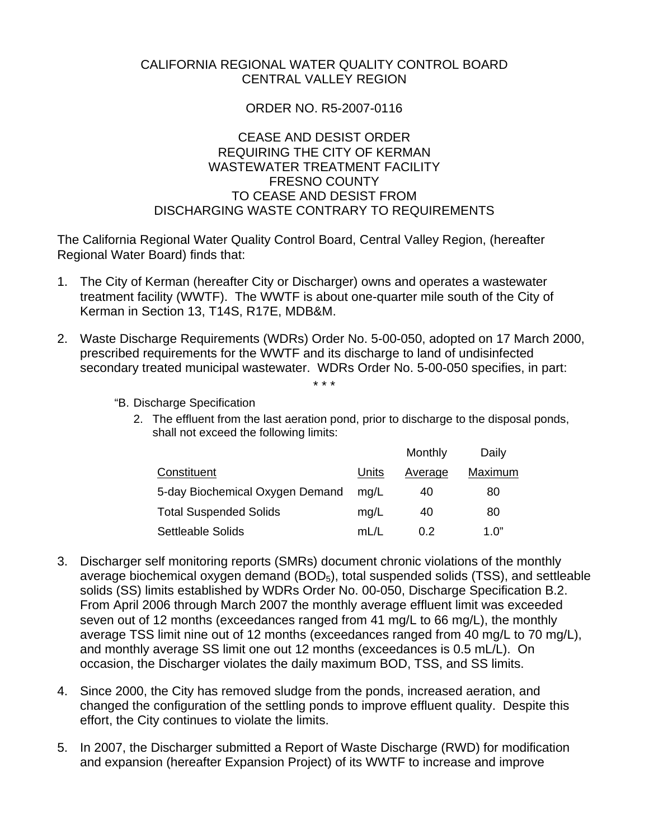# CALIFORNIA REGIONAL WATER QUALITY CONTROL BOARD CENTRAL VALLEY REGION

# ORDER NO. R5-2007-0116

## CEASE AND DESIST ORDER REQUIRING THE CITY OF KERMAN WASTEWATER TREATMENT FACILITY FRESNO COUNTY TO CEASE AND DESIST FROM DISCHARGING WASTE CONTRARY TO REQUIREMENTS

The California Regional Water Quality Control Board, Central Valley Region, (hereafter Regional Water Board) finds that:

- 1. The City of Kerman (hereafter City or Discharger) owns and operates a wastewater treatment facility (WWTF). The WWTF is about one-quarter mile south of the City of Kerman in Section 13, T14S, R17E, MDB&M.
- 2. Waste Discharge Requirements (WDRs) Order No. 5-00-050, adopted on 17 March 2000, prescribed requirements for the WWTF and its discharge to land of undisinfected secondary treated municipal wastewater. WDRs Order No. 5-00-050 specifies, in part: \* \* \*
	- "B. Discharge Specification
		- 2. The effluent from the last aeration pond, prior to discharge to the disposal ponds, shall not exceed the following limits:

|                                 |       | Monthly | Daily   |
|---------------------------------|-------|---------|---------|
| Constituent                     | Units | Average | Maximum |
| 5-day Biochemical Oxygen Demand | ma/L  | 40      | 80      |
| <b>Total Suspended Solids</b>   | mq/L  | 40      | 80      |
| <b>Settleable Solids</b>        | mL/L  | 0.2     | 1. $0"$ |

- 3. Discharger self monitoring reports (SMRs) document chronic violations of the monthly average biochemical oxygen demand  $(BOD<sub>5</sub>)$ , total suspended solids  $(TSS)$ , and settleable solids (SS) limits established by WDRs Order No. 00-050, Discharge Specification B.2. From April 2006 through March 2007 the monthly average effluent limit was exceeded seven out of 12 months (exceedances ranged from 41 mg/L to 66 mg/L), the monthly average TSS limit nine out of 12 months (exceedances ranged from 40 mg/L to 70 mg/L), and monthly average SS limit one out 12 months (exceedances is 0.5 mL/L). On occasion, the Discharger violates the daily maximum BOD, TSS, and SS limits.
- 4. Since 2000, the City has removed sludge from the ponds, increased aeration, and changed the configuration of the settling ponds to improve effluent quality. Despite this effort, the City continues to violate the limits.
- 5. In 2007, the Discharger submitted a Report of Waste Discharge (RWD) for modification and expansion (hereafter Expansion Project) of its WWTF to increase and improve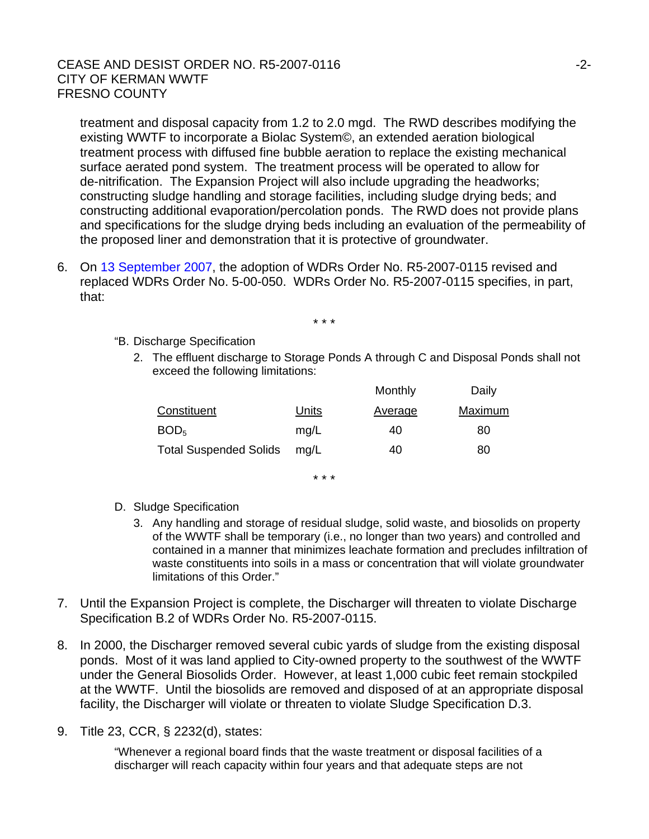## CEASE AND DESIST ORDER NO. R5-2007-0116 CITY OF KERMAN WWTF FRESNO COUNTY

treatment and disposal capacity from 1.2 to 2.0 mgd. The RWD describes modifying the existing WWTF to incorporate a Biolac System©, an extended aeration biological treatment process with diffused fine bubble aeration to replace the existing mechanical surface aerated pond system. The treatment process will be operated to allow for de-nitrification. The Expansion Project will also include upgrading the headworks; constructing sludge handling and storage facilities, including sludge drying beds; and constructing additional evaporation/percolation ponds. The RWD does not provide plans and specifications for the sludge drying beds including an evaluation of the permeability of the proposed liner and demonstration that it is protective of groundwater.

6. On 13 September 2007, the adoption of WDRs Order No. R5-2007-0115 revised and replaced WDRs Order No. 5-00-050. WDRs Order No. R5-2007-0115 specifies, in part, that:

\* \* \*

- "B. Discharge Specification
	- 2. The effluent discharge to Storage Ponds A through C and Disposal Ponds shall not exceed the following limitations:

|       | Monthly        | Daily   |
|-------|----------------|---------|
| Units | <b>Average</b> | Maximum |
| mq/L  | 40             | 80      |
| mg/L  | 40             | 80      |
|       |                |         |

\* \* \*

- D. Sludge Specification
	- 3. Any handling and storage of residual sludge, solid waste, and biosolids on property of the WWTF shall be temporary (i.e., no longer than two years) and controlled and contained in a manner that minimizes leachate formation and precludes infiltration of waste constituents into soils in a mass or concentration that will violate groundwater limitations of this Order."
- 7. Until the Expansion Project is complete, the Discharger will threaten to violate Discharge Specification B.2 of WDRs Order No. R5-2007-0115.
- 8. In 2000, the Discharger removed several cubic yards of sludge from the existing disposal ponds. Most of it was land applied to City-owned property to the southwest of the WWTF under the General Biosolids Order. However, at least 1,000 cubic feet remain stockpiled at the WWTF. Until the biosolids are removed and disposed of at an appropriate disposal facility, the Discharger will violate or threaten to violate Sludge Specification D.3.
- 9. Title 23, CCR, § 2232(d), states:

"Whenever a regional board finds that the waste treatment or disposal facilities of a discharger will reach capacity within four years and that adequate steps are not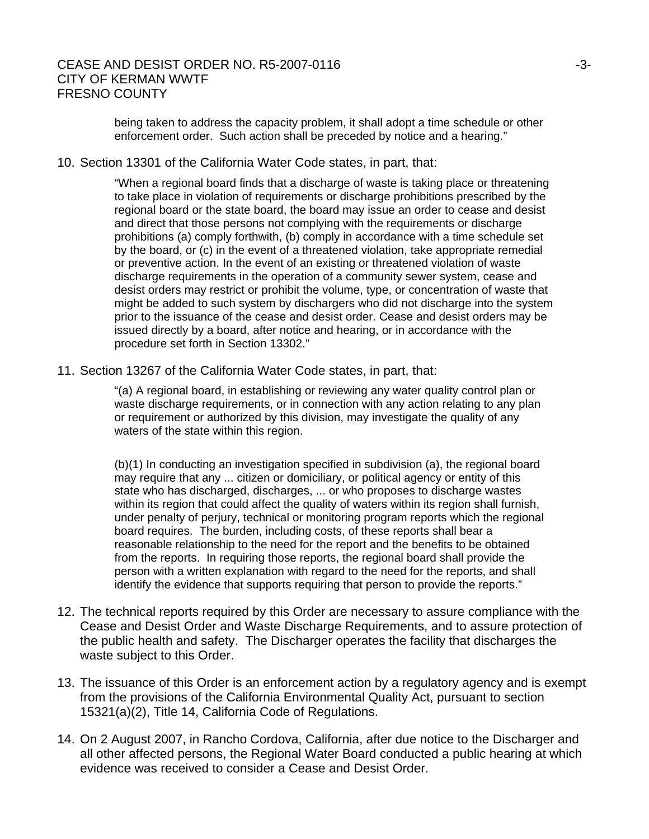## CEASE AND DESIST ORDER NO. R5-2007-0116 **SECULIARY 100 SET ASSAULT** 13-3-CITY OF KERMAN WWTF FRESNO COUNTY

being taken to address the capacity problem, it shall adopt a time schedule or other enforcement order. Such action shall be preceded by notice and a hearing."

#### 10. Section 13301 of the California Water Code states, in part, that:

"When a regional board finds that a discharge of waste is taking place or threatening to take place in violation of requirements or discharge prohibitions prescribed by the regional board or the state board, the board may issue an order to cease and desist and direct that those persons not complying with the requirements or discharge prohibitions (a) comply forthwith, (b) comply in accordance with a time schedule set by the board, or (c) in the event of a threatened violation, take appropriate remedial or preventive action. In the event of an existing or threatened violation of waste discharge requirements in the operation of a community sewer system, cease and desist orders may restrict or prohibit the volume, type, or concentration of waste that might be added to such system by dischargers who did not discharge into the system prior to the issuance of the cease and desist order. Cease and desist orders may be issued directly by a board, after notice and hearing, or in accordance with the procedure set forth in Section 13302."

11. Section 13267 of the California Water Code states, in part, that:

"(a) A regional board, in establishing or reviewing any water quality control plan or waste discharge requirements, or in connection with any action relating to any plan or requirement or authorized by this division, may investigate the quality of any waters of the state within this region.

(b)(1) In conducting an investigation specified in subdivision (a), the regional board may require that any ... citizen or domiciliary, or political agency or entity of this state who has discharged, discharges, ... or who proposes to discharge wastes within its region that could affect the quality of waters within its region shall furnish, under penalty of perjury, technical or monitoring program reports which the regional board requires. The burden, including costs, of these reports shall bear a reasonable relationship to the need for the report and the benefits to be obtained from the reports. In requiring those reports, the regional board shall provide the person with a written explanation with regard to the need for the reports, and shall identify the evidence that supports requiring that person to provide the reports."

- 12. The technical reports required by this Order are necessary to assure compliance with the Cease and Desist Order and Waste Discharge Requirements, and to assure protection of the public health and safety. The Discharger operates the facility that discharges the waste subject to this Order.
- 13. The issuance of this Order is an enforcement action by a regulatory agency and is exempt from the provisions of the California Environmental Quality Act, pursuant to section 15321(a)(2), Title 14, California Code of Regulations.
- 14. On 2 August 2007, in Rancho Cordova, California, after due notice to the Discharger and all other affected persons, the Regional Water Board conducted a public hearing at which evidence was received to consider a Cease and Desist Order.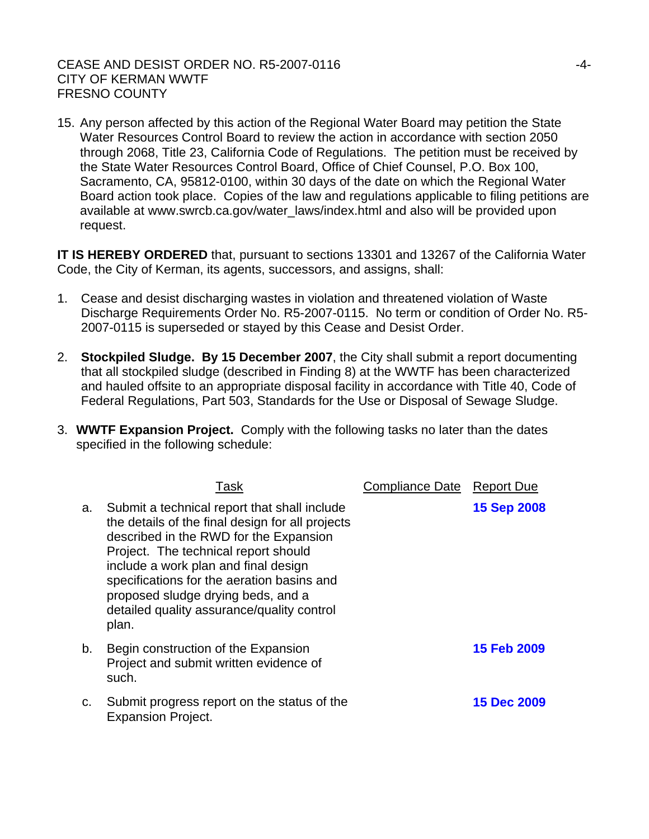#### CEASE AND DESIST ORDER NO. R5-2007-0116 CITY OF KERMAN WWTF FRESNO COUNTY

15. Any person affected by this action of the Regional Water Board may petition the State Water Resources Control Board to review the action in accordance with section 2050 through 2068, Title 23, California Code of Regulations. The petition must be received by the State Water Resources Control Board, Office of Chief Counsel, P.O. Box 100, Sacramento, CA, 95812-0100, within 30 days of the date on which the Regional Water Board action took place. Copies of the law and regulations applicable to filing petitions are available at www.swrcb.ca.gov/water\_laws/index.html and also will be provided upon request.

**IT IS HEREBY ORDERED** that, pursuant to sections 13301 and 13267 of the California Water Code, the City of Kerman, its agents, successors, and assigns, shall:

- 1. Cease and desist discharging wastes in violation and threatened violation of Waste Discharge Requirements Order No. R5-2007-0115. No term or condition of Order No. R5- 2007-0115 is superseded or stayed by this Cease and Desist Order.
- 2. **Stockpiled Sludge. By 15 December 2007**, the City shall submit a report documenting that all stockpiled sludge (described in Finding 8) at the WWTF has been characterized and hauled offsite to an appropriate disposal facility in accordance with Title 40, Code of Federal Regulations, Part 503, Standards for the Use or Disposal of Sewage Sludge.
- 3. **WWTF Expansion Project.** Comply with the following tasks no later than the dates specified in the following schedule:

|    | Task                                                                                                                                                                                                                                                                                                                                                                  | Compliance Date | <b>Report Due</b>  |
|----|-----------------------------------------------------------------------------------------------------------------------------------------------------------------------------------------------------------------------------------------------------------------------------------------------------------------------------------------------------------------------|-----------------|--------------------|
| a. | Submit a technical report that shall include<br>the details of the final design for all projects<br>described in the RWD for the Expansion<br>Project. The technical report should<br>include a work plan and final design<br>specifications for the aeration basins and<br>proposed sludge drying beds, and a<br>detailed quality assurance/quality control<br>plan. |                 | <b>15 Sep 2008</b> |
| b. | Begin construction of the Expansion<br>Project and submit written evidence of<br>such.                                                                                                                                                                                                                                                                                |                 | <b>15 Feb 2009</b> |
| C. | Submit progress report on the status of the<br><b>Expansion Project.</b>                                                                                                                                                                                                                                                                                              |                 | <b>15 Dec 2009</b> |